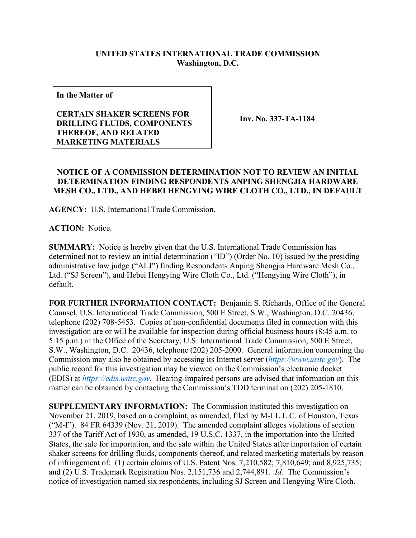## **UNITED STATES INTERNATIONAL TRADE COMMISSION Washington, D.C.**

**In the Matter of**

## **CERTAIN SHAKER SCREENS FOR DRILLING FLUIDS, COMPONENTS THEREOF, AND RELATED MARKETING MATERIALS**

**Inv. No. 337-TA-1184**

## **NOTICE OF A COMMISSION DETERMINATION NOT TO REVIEW AN INITIAL DETERMINATION FINDING RESPONDENTS ANPING SHENGJIA HARDWARE MESH CO., LTD., AND HEBEI HENGYING WIRE CLOTH CO., LTD., IN DEFAULT**

**AGENCY:** U.S. International Trade Commission.

**ACTION:** Notice.

**SUMMARY:** Notice is hereby given that the U.S. International Trade Commission has determined not to review an initial determination ("ID") (Order No. 10) issued by the presiding administrative law judge ("ALJ") finding Respondents Anping Shengjia Hardware Mesh Co., Ltd. ("SJ Screen"), and Hebei Hengying Wire Cloth Co., Ltd. ("Hengying Wire Cloth"), in default.

**FOR FURTHER INFORMATION CONTACT:** Benjamin S. Richards, Office of the General Counsel, U.S. International Trade Commission, 500 E Street, S.W., Washington, D.C. 20436, telephone (202) 708-5453. Copies of non-confidential documents filed in connection with this investigation are or will be available for inspection during official business hours (8:45 a.m. to 5:15 p.m.) in the Office of the Secretary, U.S. International Trade Commission, 500 E Street, S.W., Washington, D.C. 20436, telephone (202) 205-2000. General information concerning the Commission may also be obtained by accessing its Internet server (*[https://www.usitc.gov](https://www.usitc.gov/)*). The public record for this investigation may be viewed on the Commission's electronic docket (EDIS) at *[https://edis.usitc.gov](https://edis.usitc.gov/)*. Hearing-impaired persons are advised that information on this matter can be obtained by contacting the Commission's TDD terminal on (202) 205-1810.

**SUPPLEMENTARY INFORMATION:** The Commission instituted this investigation on November 21, 2019, based on a complaint, as amended, filed by M-I L.L.C. of Houston, Texas ("M-I"). 84 FR 64339 (Nov. 21, 2019). The amended complaint alleges violations of section 337 of the Tariff Act of 1930, as amended, 19 U.S.C. 1337, in the importation into the United States, the sale for importation, and the sale within the United States after importation of certain shaker screens for drilling fluids, components thereof, and related marketing materials by reason of infringement of: (1) certain claims of U.S. Patent Nos. 7,210,582; 7,810,649; and 8,925,735; and (2) U.S. Trademark Registration Nos. 2,151,736 and 2,744,891. *Id.* The Commission's notice of investigation named six respondents, including SJ Screen and Hengying Wire Cloth.